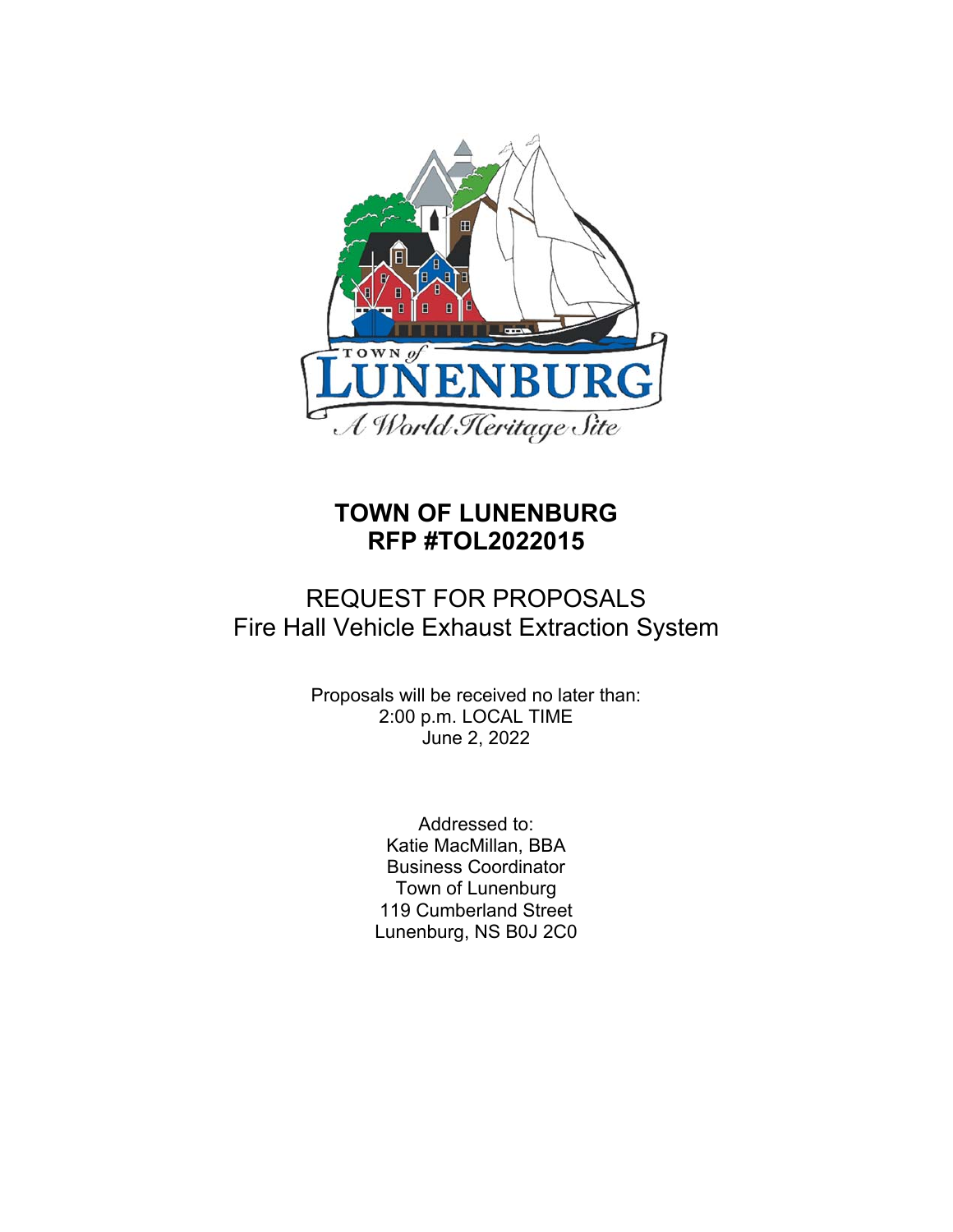

# **TOWN OF LUNENBURG RFP #TOL2022015**

# REQUEST FOR PROPOSALS Fire Hall Vehicle Exhaust Extraction System

Proposals will be received no later than: 2:00 p.m. LOCAL TIME June 2, 2022

> Addressed to: Katie MacMillan, BBA Business Coordinator Town of Lunenburg 119 Cumberland Street Lunenburg, NS B0J 2C0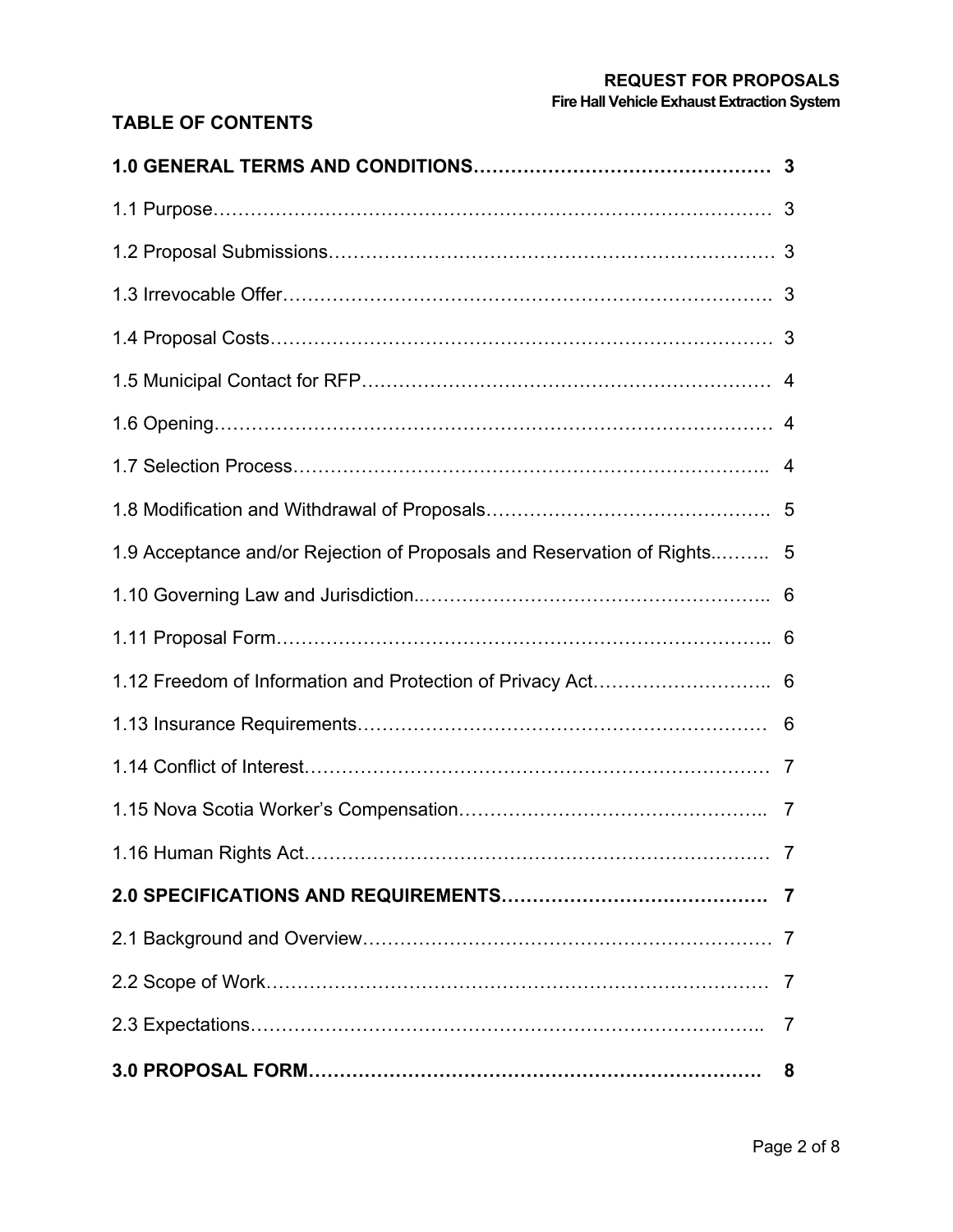# **REQUEST FOR PROPOSALS**

**Fire Hall Vehicle Exhaust Extraction System**

# **TABLE OF CONTENTS**

| 1.9 Acceptance and/or Rejection of Proposals and Reservation of Rights 5 |                |
|--------------------------------------------------------------------------|----------------|
|                                                                          |                |
|                                                                          |                |
|                                                                          |                |
|                                                                          |                |
|                                                                          |                |
|                                                                          |                |
|                                                                          |                |
|                                                                          |                |
|                                                                          |                |
|                                                                          |                |
|                                                                          | $\overline{7}$ |
|                                                                          | 8              |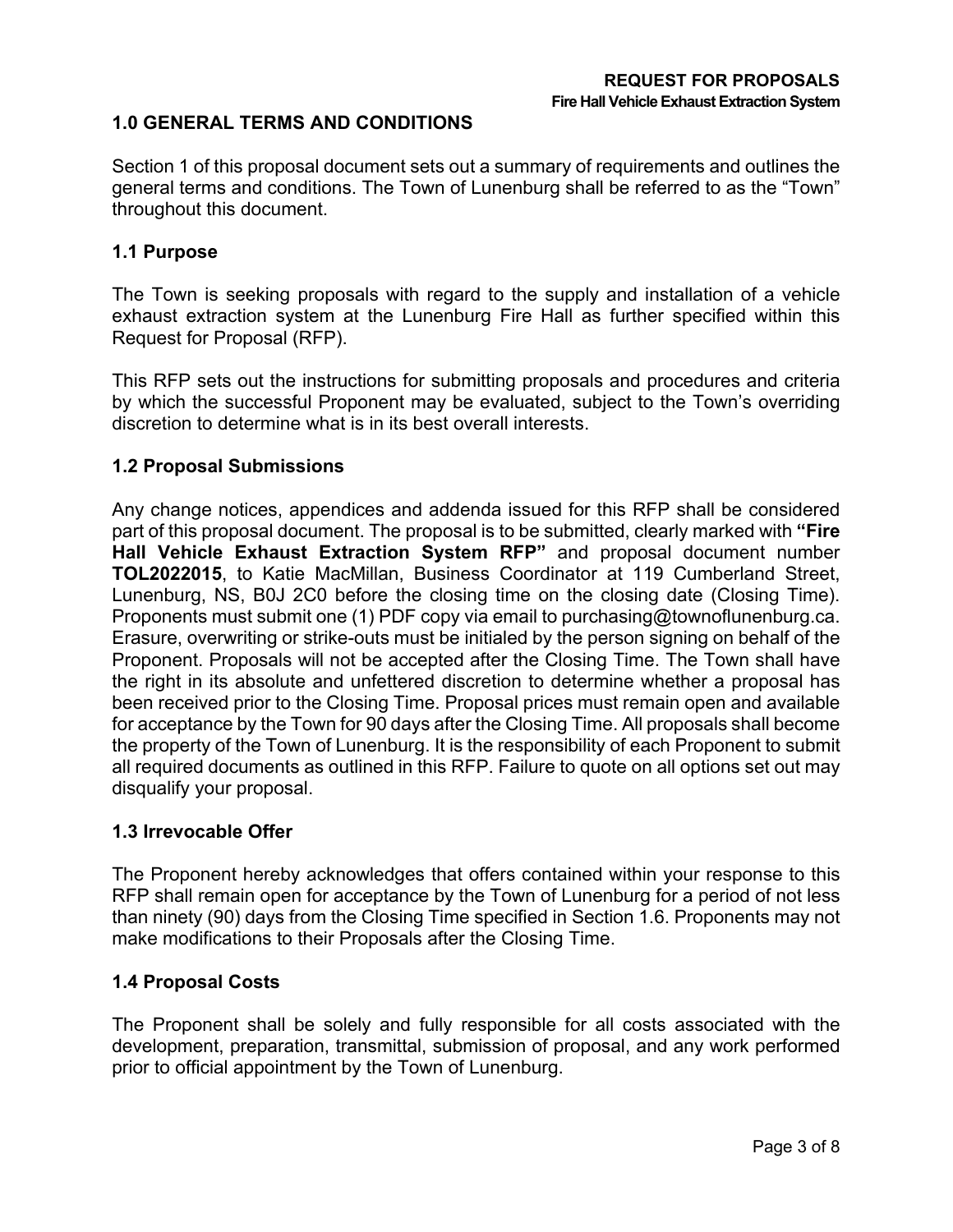# **1.0 GENERAL TERMS AND CONDITIONS**

Section 1 of this proposal document sets out a summary of requirements and outlines the general terms and conditions. The Town of Lunenburg shall be referred to as the "Town" throughout this document.

#### **1.1 Purpose**

The Town is seeking proposals with regard to the supply and installation of a vehicle exhaust extraction system at the Lunenburg Fire Hall as further specified within this Request for Proposal (RFP).

This RFP sets out the instructions for submitting proposals and procedures and criteria by which the successful Proponent may be evaluated, subject to the Town's overriding discretion to determine what is in its best overall interests.

## **1.2 Proposal Submissions**

Any change notices, appendices and addenda issued for this RFP shall be considered part of this proposal document. The proposal is to be submitted, clearly marked with **"Fire Hall Vehicle Exhaust Extraction System RFP"** and proposal document number **TOL2022015**, to Katie MacMillan, Business Coordinator at 119 Cumberland Street, Lunenburg, NS, B0J 2C0 before the closing time on the closing date (Closing Time). Proponents must submit one (1) PDF copy via email to purchasing@townoflunenburg.ca. Erasure, overwriting or strike-outs must be initialed by the person signing on behalf of the Proponent. Proposals will not be accepted after the Closing Time. The Town shall have the right in its absolute and unfettered discretion to determine whether a proposal has been received prior to the Closing Time. Proposal prices must remain open and available for acceptance by the Town for 90 days after the Closing Time. All proposals shall become the property of the Town of Lunenburg. It is the responsibility of each Proponent to submit all required documents as outlined in this RFP. Failure to quote on all options set out may disqualify your proposal.

#### **1.3 Irrevocable Offer**

The Proponent hereby acknowledges that offers contained within your response to this RFP shall remain open for acceptance by the Town of Lunenburg for a period of not less than ninety (90) days from the Closing Time specified in Section 1.6. Proponents may not make modifications to their Proposals after the Closing Time.

#### **1.4 Proposal Costs**

The Proponent shall be solely and fully responsible for all costs associated with the development, preparation, transmittal, submission of proposal, and any work performed prior to official appointment by the Town of Lunenburg.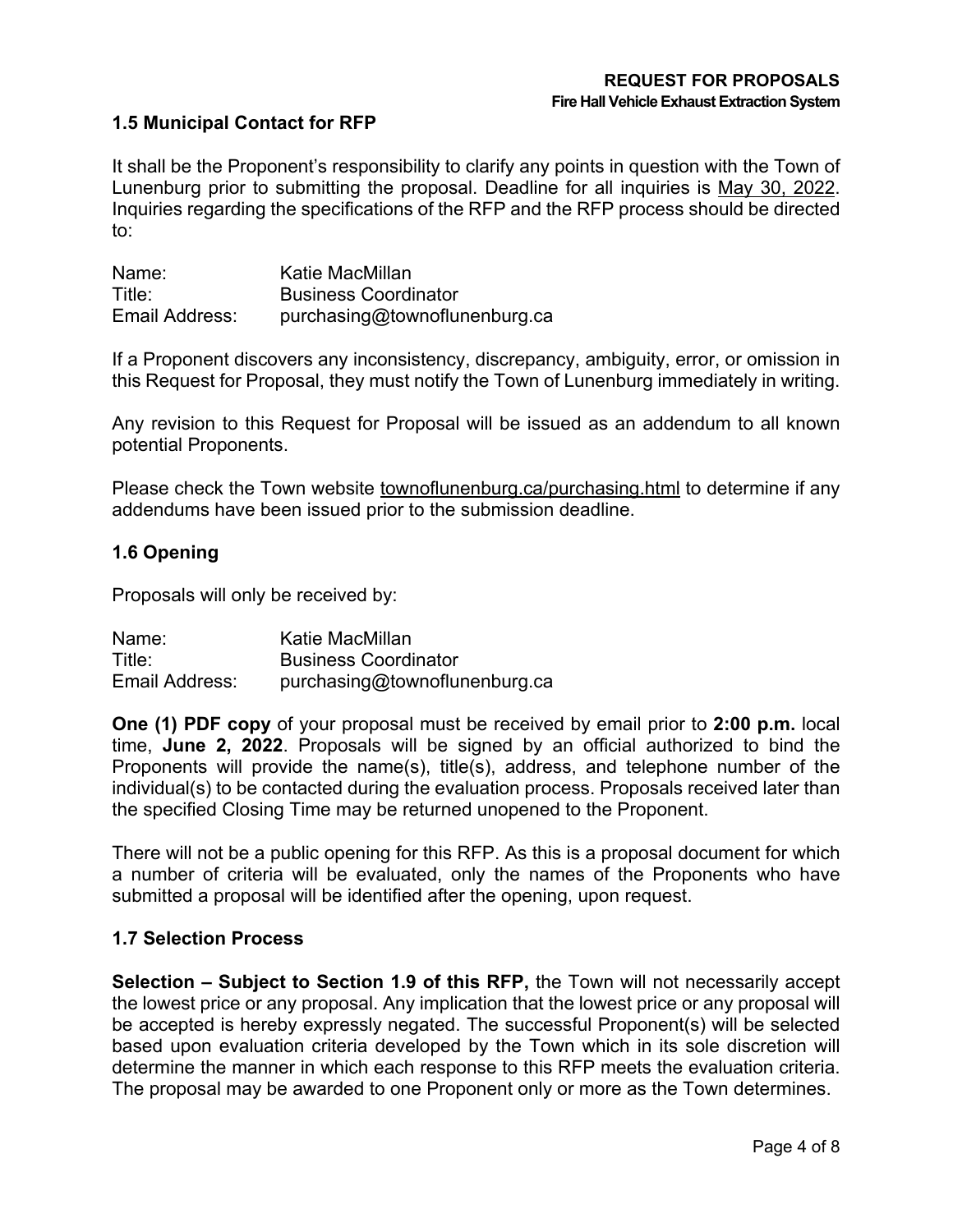# **1.5 Municipal Contact for RFP**

It shall be the Proponent's responsibility to clarify any points in question with the Town of Lunenburg prior to submitting the proposal. Deadline for all inquiries is May 30, 2022. Inquiries regarding the specifications of the RFP and the RFP process should be directed to:

| Name:          | Katie MacMillan               |
|----------------|-------------------------------|
| Title:         | <b>Business Coordinator</b>   |
| Email Address: | purchasing@townoflunenburg.ca |

If a Proponent discovers any inconsistency, discrepancy, ambiguity, error, or omission in this Request for Proposal, they must notify the Town of Lunenburg immediately in writing.

Any revision to this Request for Proposal will be issued as an addendum to all known potential Proponents.

Please check the Town website townoflunenburg.ca/purchasing.html to determine if any addendums have been issued prior to the submission deadline.

## **1.6 Opening**

Proposals will only be received by:

| Name:          | Katie MacMillan               |
|----------------|-------------------------------|
| Title:         | <b>Business Coordinator</b>   |
| Email Address: | purchasing@townoflunenburg.ca |

**One (1) PDF copy** of your proposal must be received by email prior to **2:00 p.m.** local time, **June 2, 2022**. Proposals will be signed by an official authorized to bind the Proponents will provide the name(s), title(s), address, and telephone number of the individual(s) to be contacted during the evaluation process. Proposals received later than the specified Closing Time may be returned unopened to the Proponent.

There will not be a public opening for this RFP. As this is a proposal document for which a number of criteria will be evaluated, only the names of the Proponents who have submitted a proposal will be identified after the opening, upon request.

#### **1.7 Selection Process**

**Selection – Subject to Section 1.9 of this RFP,** the Town will not necessarily accept the lowest price or any proposal. Any implication that the lowest price or any proposal will be accepted is hereby expressly negated. The successful Proponent(s) will be selected based upon evaluation criteria developed by the Town which in its sole discretion will determine the manner in which each response to this RFP meets the evaluation criteria. The proposal may be awarded to one Proponent only or more as the Town determines.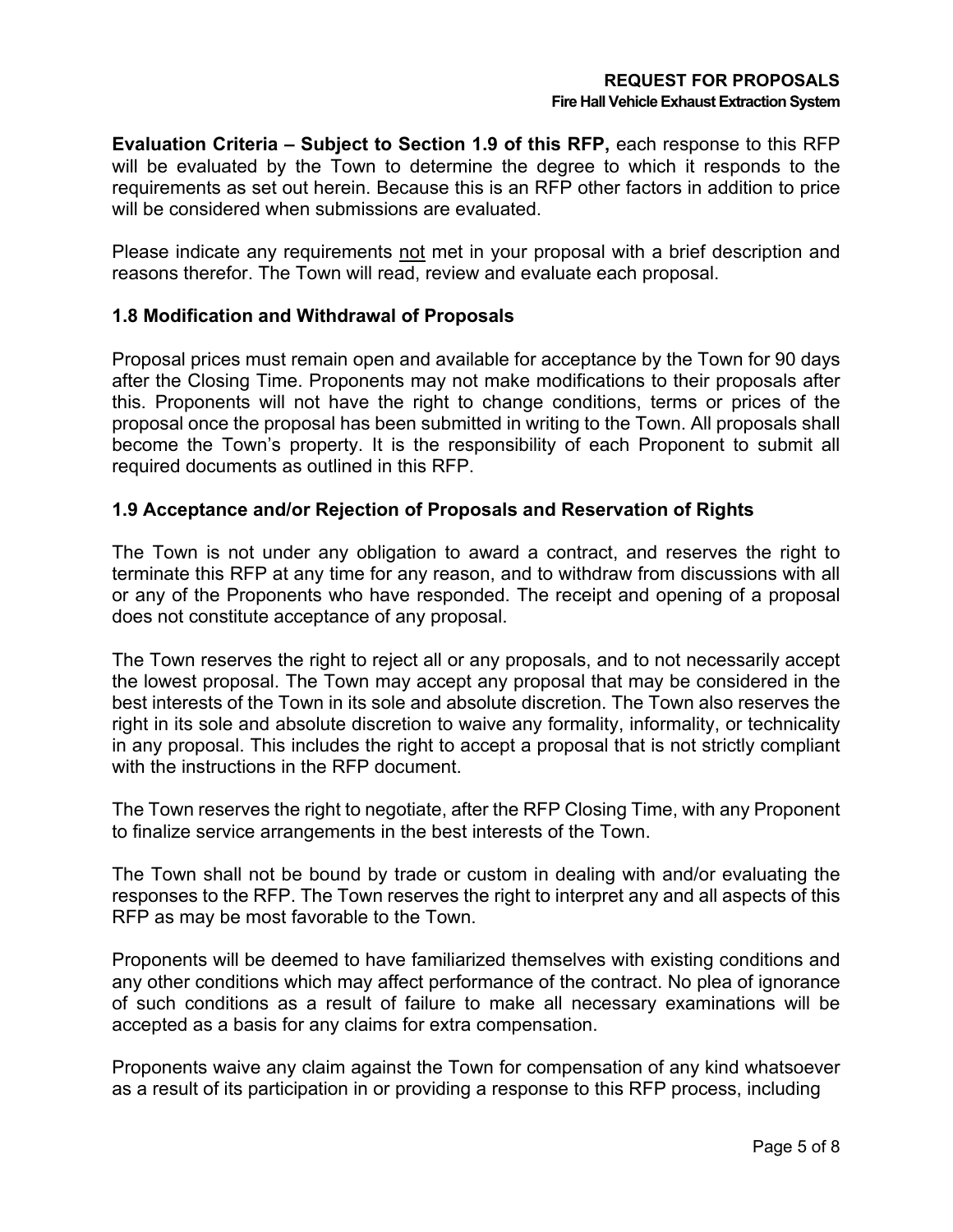**Evaluation Criteria – Subject to Section 1.9 of this RFP,** each response to this RFP will be evaluated by the Town to determine the degree to which it responds to the requirements as set out herein. Because this is an RFP other factors in addition to price will be considered when submissions are evaluated.

Please indicate any requirements not met in your proposal with a brief description and reasons therefor. The Town will read, review and evaluate each proposal.

# **1.8 Modification and Withdrawal of Proposals**

Proposal prices must remain open and available for acceptance by the Town for 90 days after the Closing Time. Proponents may not make modifications to their proposals after this. Proponents will not have the right to change conditions, terms or prices of the proposal once the proposal has been submitted in writing to the Town. All proposals shall become the Town's property. It is the responsibility of each Proponent to submit all required documents as outlined in this RFP.

# **1.9 Acceptance and/or Rejection of Proposals and Reservation of Rights**

The Town is not under any obligation to award a contract, and reserves the right to terminate this RFP at any time for any reason, and to withdraw from discussions with all or any of the Proponents who have responded. The receipt and opening of a proposal does not constitute acceptance of any proposal.

The Town reserves the right to reject all or any proposals, and to not necessarily accept the lowest proposal. The Town may accept any proposal that may be considered in the best interests of the Town in its sole and absolute discretion. The Town also reserves the right in its sole and absolute discretion to waive any formality, informality, or technicality in any proposal. This includes the right to accept a proposal that is not strictly compliant with the instructions in the RFP document.

The Town reserves the right to negotiate, after the RFP Closing Time, with any Proponent to finalize service arrangements in the best interests of the Town.

The Town shall not be bound by trade or custom in dealing with and/or evaluating the responses to the RFP. The Town reserves the right to interpret any and all aspects of this RFP as may be most favorable to the Town.

Proponents will be deemed to have familiarized themselves with existing conditions and any other conditions which may affect performance of the contract. No plea of ignorance of such conditions as a result of failure to make all necessary examinations will be accepted as a basis for any claims for extra compensation.

Proponents waive any claim against the Town for compensation of any kind whatsoever as a result of its participation in or providing a response to this RFP process, including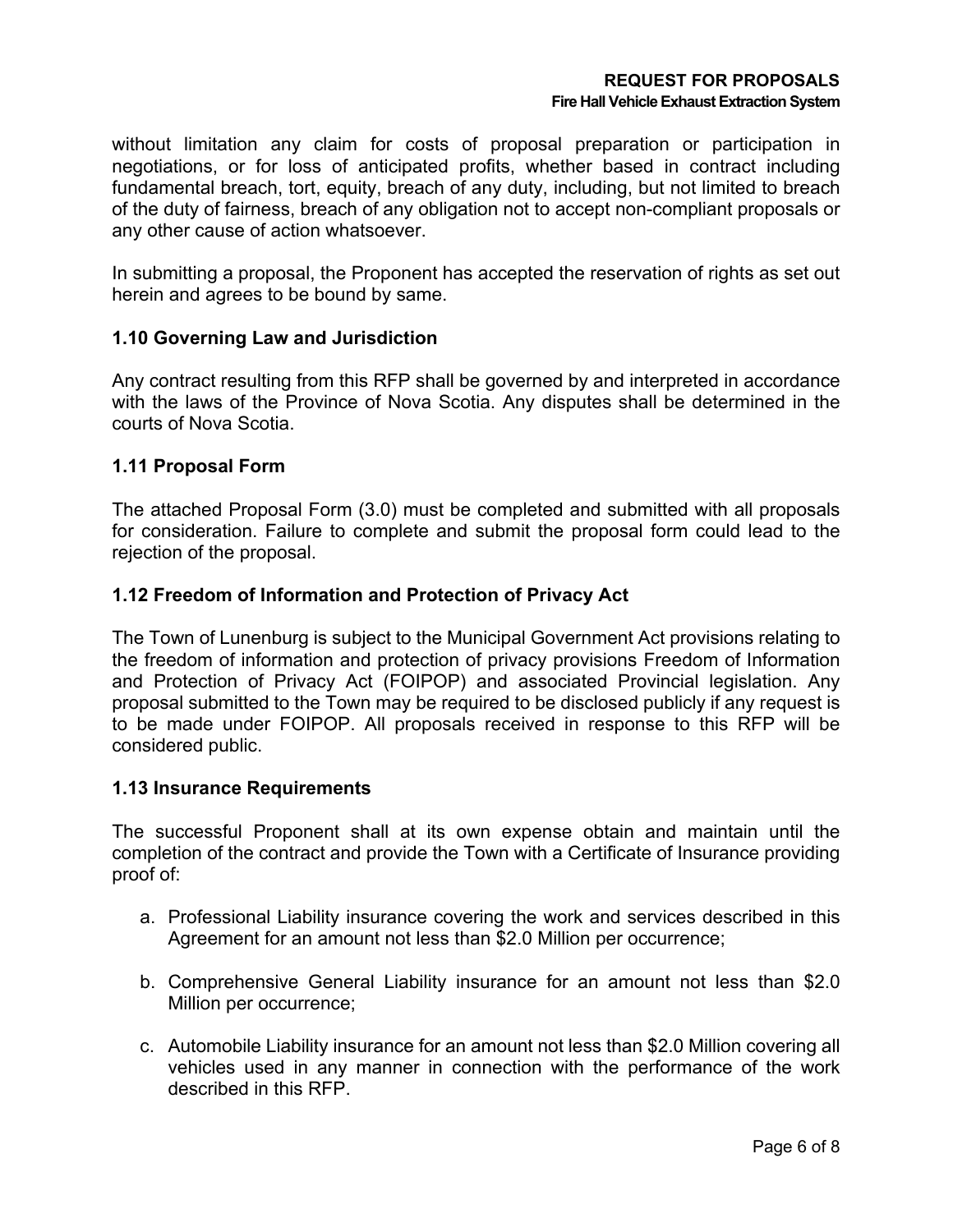#### **REQUEST FOR PROPOSALS Fire Hall Vehicle Exhaust Extraction System**

without limitation any claim for costs of proposal preparation or participation in negotiations, or for loss of anticipated profits, whether based in contract including fundamental breach, tort, equity, breach of any duty, including, but not limited to breach of the duty of fairness, breach of any obligation not to accept non-compliant proposals or any other cause of action whatsoever.

In submitting a proposal, the Proponent has accepted the reservation of rights as set out herein and agrees to be bound by same.

## **1.10 Governing Law and Jurisdiction**

Any contract resulting from this RFP shall be governed by and interpreted in accordance with the laws of the Province of Nova Scotia. Any disputes shall be determined in the courts of Nova Scotia.

## **1.11 Proposal Form**

The attached Proposal Form (3.0) must be completed and submitted with all proposals for consideration. Failure to complete and submit the proposal form could lead to the rejection of the proposal.

## **1.12 Freedom of Information and Protection of Privacy Act**

The Town of Lunenburg is subject to the Municipal Government Act provisions relating to the freedom of information and protection of privacy provisions Freedom of Information and Protection of Privacy Act (FOIPOP) and associated Provincial legislation. Any proposal submitted to the Town may be required to be disclosed publicly if any request is to be made under FOIPOP. All proposals received in response to this RFP will be considered public.

#### **1.13 Insurance Requirements**

The successful Proponent shall at its own expense obtain and maintain until the completion of the contract and provide the Town with a Certificate of Insurance providing proof of:

- a. Professional Liability insurance covering the work and services described in this Agreement for an amount not less than \$2.0 Million per occurrence;
- b. Comprehensive General Liability insurance for an amount not less than \$2.0 Million per occurrence;
- c. Automobile Liability insurance for an amount not less than \$2.0 Million covering all vehicles used in any manner in connection with the performance of the work described in this RFP.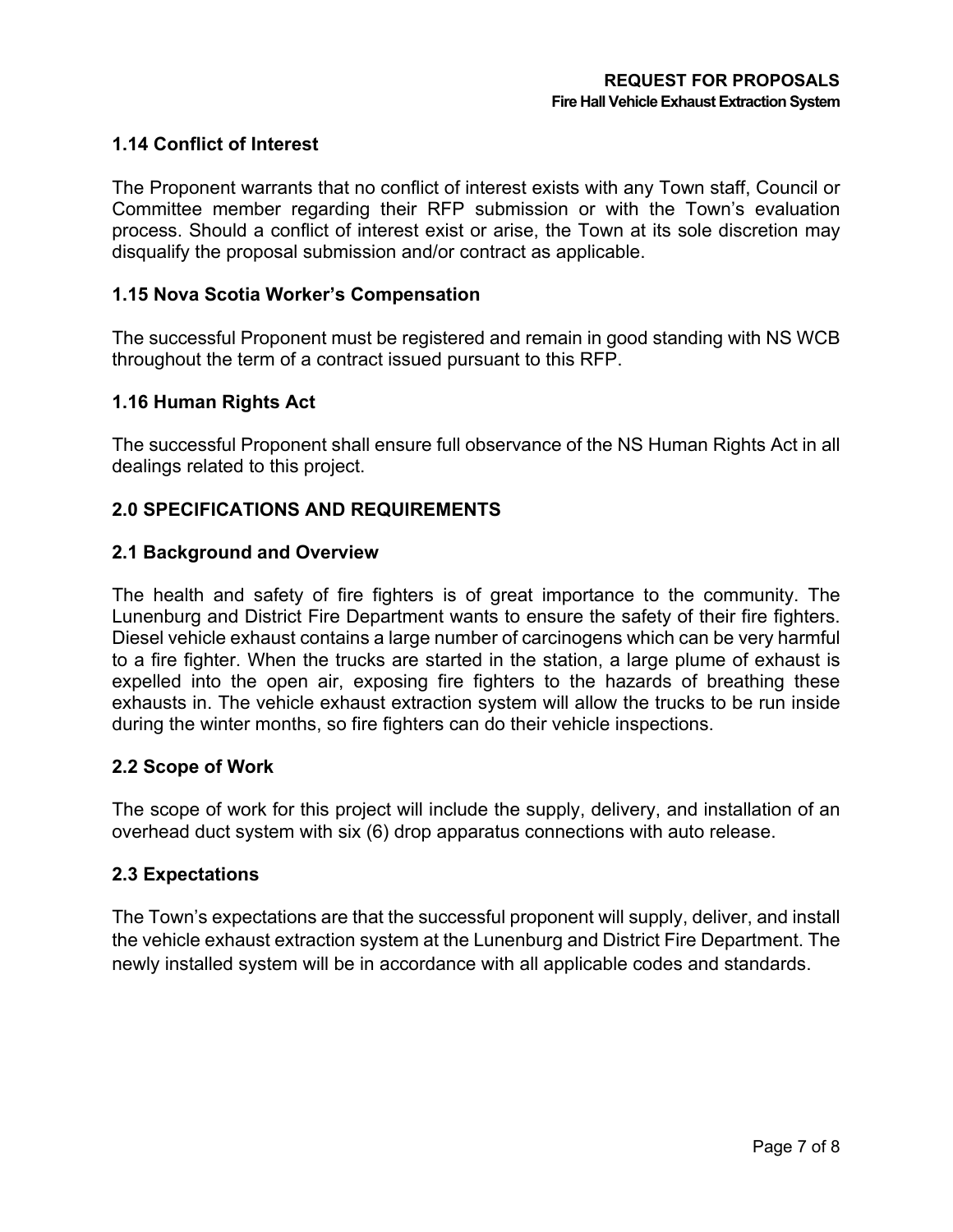# **1.14 Conflict of Interest**

The Proponent warrants that no conflict of interest exists with any Town staff, Council or Committee member regarding their RFP submission or with the Town's evaluation process. Should a conflict of interest exist or arise, the Town at its sole discretion may disqualify the proposal submission and/or contract as applicable.

# **1.15 Nova Scotia Worker's Compensation**

The successful Proponent must be registered and remain in good standing with NS WCB throughout the term of a contract issued pursuant to this RFP.

## **1.16 Human Rights Act**

The successful Proponent shall ensure full observance of the NS Human Rights Act in all dealings related to this project.

# **2.0 SPECIFICATIONS AND REQUIREMENTS**

#### **2.1 Background and Overview**

The health and safety of fire fighters is of great importance to the community. The Lunenburg and District Fire Department wants to ensure the safety of their fire fighters. Diesel vehicle exhaust contains a large number of carcinogens which can be very harmful to a fire fighter. When the trucks are started in the station, a large plume of exhaust is expelled into the open air, exposing fire fighters to the hazards of breathing these exhausts in. The vehicle exhaust extraction system will allow the trucks to be run inside during the winter months, so fire fighters can do their vehicle inspections.

#### **2.2 Scope of Work**

The scope of work for this project will include the supply, delivery, and installation of an overhead duct system with six (6) drop apparatus connections with auto release.

#### **2.3 Expectations**

The Town's expectations are that the successful proponent will supply, deliver, and install the vehicle exhaust extraction system at the Lunenburg and District Fire Department. The newly installed system will be in accordance with all applicable codes and standards.